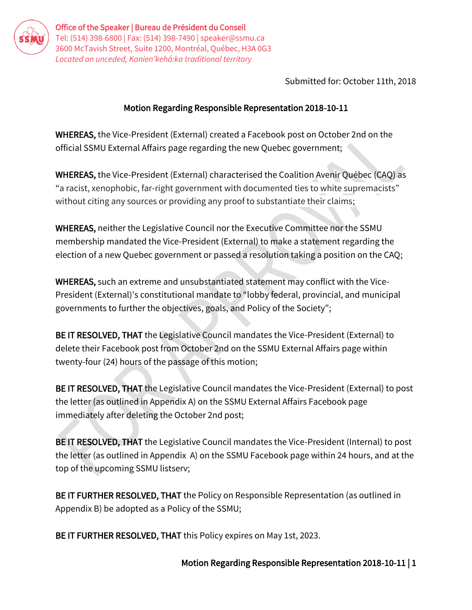

Office of the Speaker | Bureau de Président du Conseil Tel: (514) 398-6800 | Fax: (514) 398-7490 | speaker@ssmu.ca 3600 McTavish Street, Suite 1200, Montréal, Québec, H3A 0G3 *Located on unceded, Kanien'kehá:ka traditional territory* 

Submitted for: October 11th, 2018

# Motion Regarding Responsible Representation 2018-10-11

WHEREAS, the Vice-President (External) created a Facebook post on October 2nd on the official SSMU External Affairs page regarding the new Quebec government;

WHEREAS, the Vice-President (External) characterised the Coalition Avenir Québec (CAQ) as "a racist, xenophobic, far-right government with documented ties to white supremacists" without citing any sources or providing any proof to substantiate their claims;

WHEREAS, neither the Legislative Council nor the Executive Committee nor the SSMU membership mandated the Vice-President (External) to make a statement regarding the election of a new Quebec government or passed a resolution taking a position on the CAQ;

WHEREAS, such an extreme and unsubstantiated statement may conflict with the Vice-President (External)'s constitutional mandate to "lobby federal, provincial, and municipal governments to further the objectives, goals, and Policy of the Society";

BE IT RESOLVED, THAT the Legislative Council mandates the Vice-President (External) to delete their Facebook post from October 2nd on the SSMU External Affairs page within twenty-four (24) hours of the passage of this motion;

BE IT RESOLVED, THAT the Legislative Council mandates the Vice-President (External) to post the letter (as outlined in Appendix A) on the SSMU External Affairs Facebook page immediately after deleting the October 2nd post;

BE IT RESOLVED, THAT the Legislative Council mandates the Vice-President (Internal) to post the letter (as outlined in Appendix A) on the SSMU Facebook page within 24 hours, and at the top of the upcoming SSMU listserv;

BE IT FURTHER RESOLVED, THAT the Policy on Responsible Representation (as outlined in Appendix B) be adopted as a Policy of the SSMU;

BE IT FURTHER RESOLVED, THAT this Policy expires on May 1st, 2023.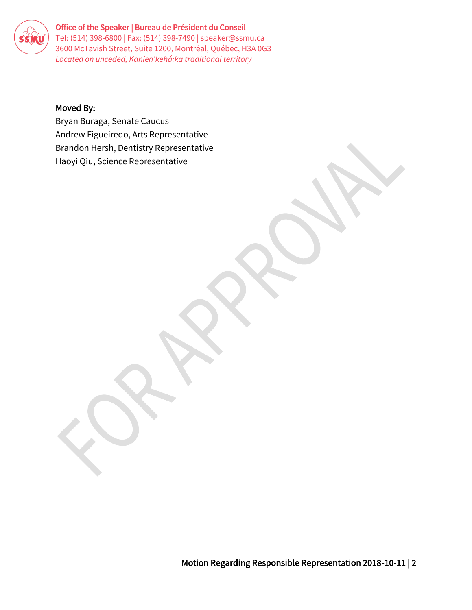

Office of the Speaker | Bureau de Président du Conseil Tel: (514) 398-6800 | Fax: (514) 398-7490 | speaker@ssmu.ca 3600 McTavish Street, Suite 1200, Montréal, Québec, H3A 0G3 *Located on unceded, Kanien'kehá:ka traditional territory* 

### Moved By:

Bryan Buraga, Senate Caucus Andrew Figueiredo, Arts Representative Brandon Hersh, Dentistry Representative Haoyi Qiu, Science Representative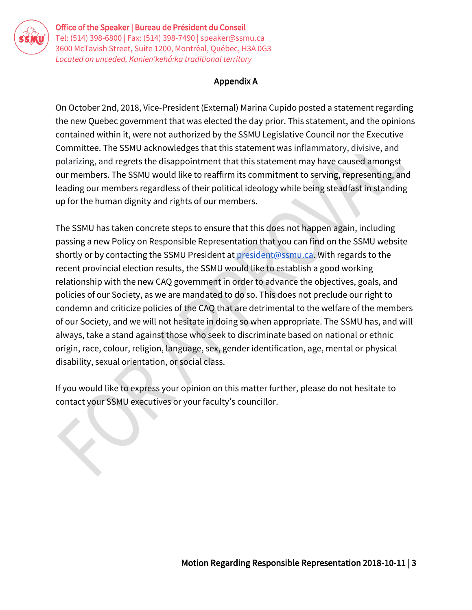

Office of the Speaker | Bureau de Président du Conseil Tel: (514) 398-6800 | Fax: (514) 398-7490 | speaker@ssmu.ca 3600 McTavish Street, Suite 1200, Montréal, Québec, H3A 0G3 *Located on unceded, Kanien'kehá:ka traditional territory* 

#### Appendix A

On October 2nd, 2018, Vice-President (External) Marina Cupido posted a statement regarding the new Quebec government that was elected the day prior. This statement, and the opinions contained within it, were not authorized by the SSMU Legislative Council nor the Executive Committee. The SSMU acknowledges that this statement was inflammatory, divisive, and polarizing, and regrets the disappointment that this statement may have caused amongst our members. The SSMU would like to reaffirm its commitment to serving, representing, and leading our members regardless of their political ideology while being steadfast in standing up for the human dignity and rights of our members.

The SSMU has taken concrete steps to ensure that this does not happen again, including passing a new Policy on Responsible Representation that you can find on the SSMU website shortly or by contacting the SSMU President at [president@ssmu.ca.](mailto:president@ssmu.ca) With regards to the recent provincial election results, the SSMU would like to establish a good working relationship with the new CAQ government in order to advance the objectives, goals, and policies of our Society, as we are mandated to do so. This does not preclude our right to condemn and criticize policies of the CAQ that are detrimental to the welfare of the members of our Society, and we will not hesitate in doing so when appropriate. The SSMU has, and will always, take a stand against those who seek to discriminate based on national or ethnic origin, race, colour, religion, language, sex, gender identification, age, mental or physical disability, sexual orientation, or social class.

If you would like to express your opinion on this matter further, please do not hesitate to contact your SSMU executives or your faculty's councillor.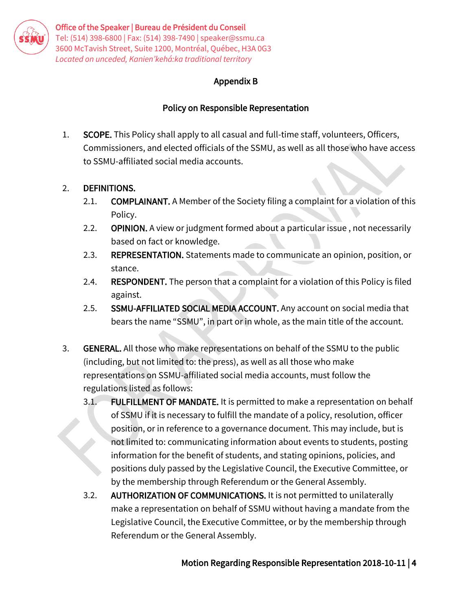

### Appendix B

# Policy on Responsible Representation

1. SCOPE. This Policy shall apply to all casual and full-time staff, volunteers, Officers, Commissioners, and elected officials of the SSMU, as well as all those who have access to SSMU-affiliated social media accounts.

# 2. DEFINITIONS.

- 2.1. **COMPLAINANT.** A Member of the Society filing a complaint for a violation of this Policy.
- 2.2. **OPINION.** A view or judgment formed about a particular issue, not necessarily based on fact or knowledge.
- 2.3. REPRESENTATION. Statements made to communicate an opinion, position, or stance.
- 2.4. RESPONDENT. The person that a complaint for a violation of this Policy is filed against.
- 2.5. SSMU-AFFILIATED SOCIAL MEDIA ACCOUNT. Any account on social media that bears the name "SSMU", in part or in whole, as the main title of the account.
- 3. GENERAL. All those who make representations on behalf of the SSMU to the public (including, but not limited to: the press), as well as all those who make representations on SSMU-affiliated social media accounts, must follow the regulations listed as follows:
	- 3.1. FULFILLMENT OF MANDATE. It is permitted to make a representation on behalf of SSMU if it is necessary to fulfill the mandate of a policy, resolution, officer position, or in reference to a governance document. This may include, but is not limited to: communicating information about events to students, posting information for the benefit of students, and stating opinions, policies, and positions duly passed by the Legislative Council, the Executive Committee, or by the membership through Referendum or the General Assembly.
	- 3.2. AUTHORIZATION OF COMMUNICATIONS. It is not permitted to unilaterally make a representation on behalf of SSMU without having a mandate from the Legislative Council, the Executive Committee, or by the membership through Referendum or the General Assembly.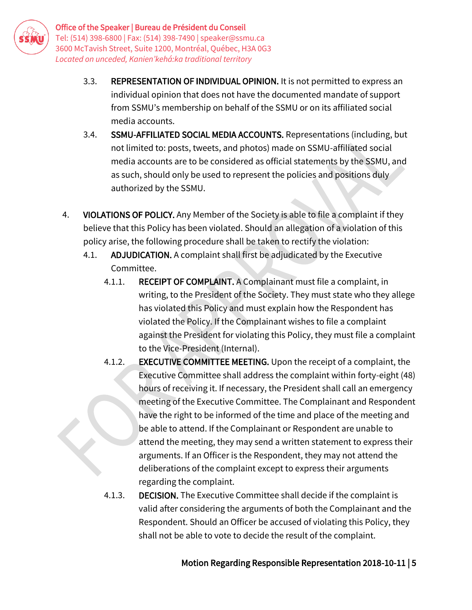

- 3.3. REPRESENTATION OF INDIVIDUAL OPINION. It is not permitted to express an individual opinion that does not have the documented mandate of support from SSMU's membership on behalf of the SSMU or on its affiliated social media accounts.
- 3.4. SSMU-AFFILIATED SOCIAL MEDIA ACCOUNTS. Representations (including, but not limited to: posts, tweets, and photos) made on SSMU-affiliated social media accounts are to be considered as official statements by the SSMU, and as such, should only be used to represent the policies and positions duly authorized by the SSMU.
- 4. VIOLATIONS OF POLICY. Any Member of the Society is able to file a complaint if they believe that this Policy has been violated. Should an allegation of a violation of this policy arise, the following procedure shall be taken to rectify the violation:
	- 4.1. ADJUDICATION. A complaint shall first be adjudicated by the Executive Committee.
		- 4.1.1. RECEIPT OF COMPLAINT. A Complainant must file a complaint, in writing, to the President of the Society. They must state who they allege has violated this Policy and must explain how the Respondent has violated the Policy. If the Complainant wishes to file a complaint against the President for violating this Policy, they must file a complaint to the Vice-President (Internal).
		- 4.1.2. **EXECUTIVE COMMITTEE MEETING.** Upon the receipt of a complaint, the Executive Committee shall address the complaint within forty-eight (48) hours of receiving it. If necessary, the President shall call an emergency meeting of the Executive Committee. The Complainant and Respondent have the right to be informed of the time and place of the meeting and be able to attend. If the Complainant or Respondent are unable to attend the meeting, they may send a written statement to express their arguments. If an Officer is the Respondent, they may not attend the deliberations of the complaint except to express their arguments regarding the complaint.
		- 4.1.3. DECISION. The Executive Committee shall decide if the complaint is valid after considering the arguments of both the Complainant and the Respondent. Should an Officer be accused of violating this Policy, they shall not be able to vote to decide the result of the complaint.